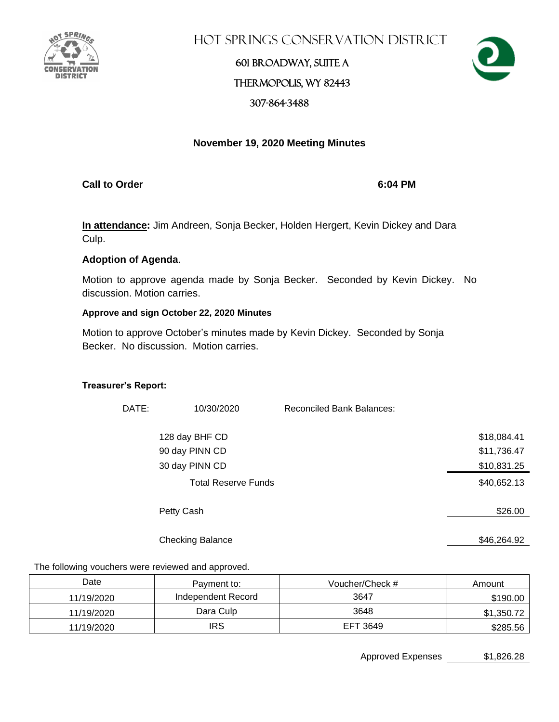

Hot Springs Conservation District

# 601 Broadway, Suite A Thermopolis, WY 82443 307-864-3488



### **November 19, 2020 Meeting Minutes**

**Call to Order 6:04 PM**

**In attendance:** Jim Andreen, Sonja Becker, Holden Hergert, Kevin Dickey and Dara Culp.

### **Adoption of Agenda**.

Motion to approve agenda made by Sonja Becker. Seconded by Kevin Dickey. No discussion. Motion carries.

### **Approve and sign October 22, 2020 Minutes**

Motion to approve October's minutes made by Kevin Dickey. Seconded by Sonja Becker. No discussion. Motion carries.

#### **Treasurer's Report:**

| DATE: | 10/30/2020                 | <b>Reconciled Bank Balances:</b> |             |
|-------|----------------------------|----------------------------------|-------------|
|       | 128 day BHF CD             |                                  | \$18,084.41 |
|       | 90 day PINN CD             |                                  | \$11,736.47 |
|       | 30 day PINN CD             |                                  | \$10,831.25 |
|       | <b>Total Reserve Funds</b> |                                  | \$40,652.13 |
|       | Petty Cash                 |                                  | \$26.00     |
|       | <b>Checking Balance</b>    |                                  | \$46,264.92 |

The following vouchers were reviewed and approved.

| Date       | Payment to:        | Voucher/Check # | Amount     |
|------------|--------------------|-----------------|------------|
| 11/19/2020 | Independent Record | 3647            | \$190.00   |
| 11/19/2020 | Dara Culp          | 3648            | \$1,350.72 |
| 11/19/2020 | IRS                | EFT 3649        | \$285.56   |

Approved Expenses \$1,826.28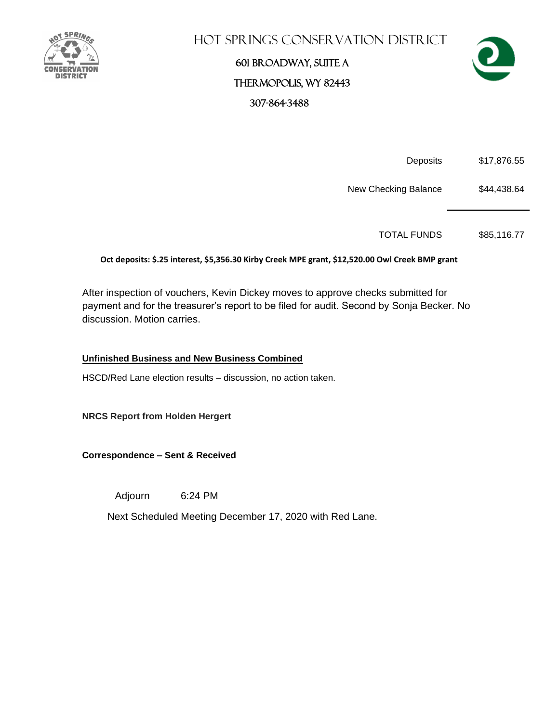

# Hot Springs Conservation District

# 601 Broadway, Suite A Thermopolis, WY 82443 307-864-3488



Deposits \$17,876.55

New Checking Balance \$44,438.64

TOTAL FUNDS \$85,116.77

#### **Oct deposits: \$.25 interest, \$5,356.30 Kirby Creek MPE grant, \$12,520.00 Owl Creek BMP grant**

After inspection of vouchers, Kevin Dickey moves to approve checks submitted for payment and for the treasurer's report to be filed for audit. Second by Sonja Becker. No discussion. Motion carries.

#### **Unfinished Business and New Business Combined**

HSCD/Red Lane election results – discussion, no action taken.

**NRCS Report from Holden Hergert**

**Correspondence – Sent & Received** 

Adjourn 6:24 PM

Next Scheduled Meeting December 17, 2020 with Red Lane.